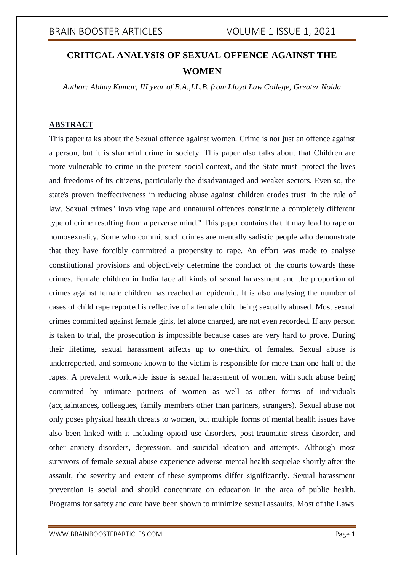# **CRITICAL ANALYSIS OF SEXUAL OFFENCE AGAINST THE WOMEN**

*Author: Abhay Kumar, III year of B.A.,LL.B. from Lloyd Law College, Greater Noida*

### **ABSTRACT**

This paper talks about the Sexual offence against women. Crime is not just an offence against a person, but it is shameful crime in society. This paper also talks about that Children are more vulnerable to crime in the present social context, and the State must protect the lives and freedoms of its citizens, particularly the disadvantaged and weaker sectors. Even so, the state's proven ineffectiveness in reducing abuse against children erodes trust in the rule of law. Sexual crimes" involving rape and unnatural offences constitute a completely different type of crime resulting from a perverse mind." This paper contains that It may lead to rape or homosexuality. Some who commit such crimes are mentally sadistic people who demonstrate that they have forcibly committed a propensity to rape. An effort was made to analyse constitutional provisions and objectively determine the conduct of the courts towards these crimes. Female children in India face all kinds of sexual harassment and the proportion of crimes against female children has reached an epidemic. It is also analysing the number of cases of child rape reported is reflective of a female child being sexually abused. Most sexual crimes committed against female girls, let alone charged, are not even recorded. If any person is taken to trial, the prosecution is impossible because cases are very hard to prove. During their lifetime, sexual harassment affects up to one-third of females. Sexual abuse is underreported, and someone known to the victim is responsible for more than one-half of the rapes. A prevalent worldwide issue is sexual harassment of women, with such abuse being committed by intimate partners of women as well as other forms of individuals (acquaintances, colleagues, family members other than partners, strangers). Sexual abuse not only poses physical health threats to women, but multiple forms of mental health issues have also been linked with it including opioid use disorders, post-traumatic stress disorder, and other anxiety disorders, depression, and suicidal ideation and attempts. Although most survivors of female sexual abuse experience adverse mental health sequelae shortly after the assault, the severity and extent of these symptoms differ significantly. Sexual harassment prevention is social and should concentrate on education in the area of public health. Programs for safety and care have been shown to minimize sexual assaults. Most of the Laws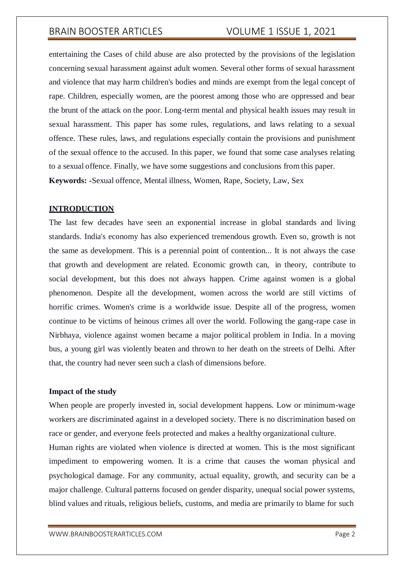entertaining the Cases of child abuse are also protected by the provisions of the legislation concerning sexual harassment against adult women. Several other forms of sexual harassment and violence that may harm children's bodies and minds are exempt from the legal concept of rape. Children, especially women, are the poorest among those who are oppressed and bear the brunt of the attack on the poor. Long-term mental and physical health issues may result in sexual harassment. This paper has some rules, regulations, and laws relating to a sexual offence. These rules, laws, and regulations especially contain the provisions and punishment of the sexual offence to the accused. In this paper, we found that some case analyses relating to a sexual offence. Finally, we have some suggestions and conclusions from this paper. **Keywords: -**Sexual offence, Mental illness, Women, Rape, Society, Law, Sex

### **INTRODUCTION**

The last few decades have seen an exponential increase in global standards and living standards. India's economy has also experienced tremendous growth. Even so, growth is not the same as development. This is a perennial point of contention... It is not always the case that growth and development are related. Economic growth can, in theory, contribute to social development, but this does not always happen. Crime against women is a global phenomenon. Despite all the development, women across the world are still victims of horrific crimes. Women's crime is a worldwide issue. Despite all of the progress, women continue to be victims of heinous crimes all over the world. Following the gang-rape case in Nirbhaya, violence against women became a major political problem in India. In a moving bus, a young girl was violently beaten and thrown to her death on the streets of Delhi. After that, the country had never seen such a clash of dimensions before.

#### **Impact of the study**

When people are properly invested in, social development happens. Low or minimum-wage workers are discriminated against in a developed society. There is no discrimination based on race or gender, and everyone feels protected and makes a healthy organizational culture.

Human rights are violated when violence is directed at women. This is the most significant impediment to empowering women. It is a crime that causes the woman physical and psychological damage. For any community, actual equality, growth, and security can be a major challenge. Cultural patterns focused on gender disparity, unequal social power systems, blind values and rituals, religious beliefs, customs, and media are primarily to blame for such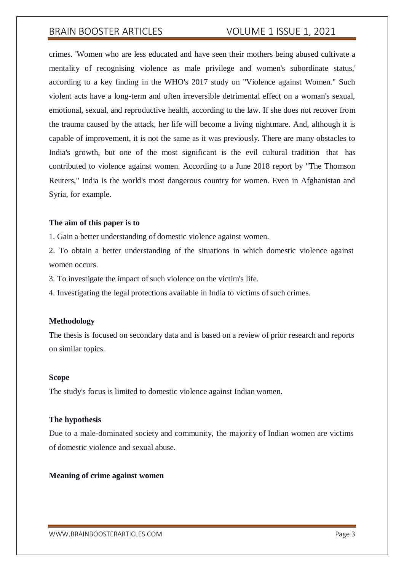crimes. 'Women who are less educated and have seen their mothers being abused cultivate a mentality of recognising violence as male privilege and women's subordinate status,' according to a key finding in the WHO's 2017 study on "Violence against Women." Such violent acts have a long-term and often irreversible detrimental effect on a woman's sexual, emotional, sexual, and reproductive health, according to the law. If she does not recover from the trauma caused by the attack, her life will become a living nightmare. And, although it is capable of improvement, it is not the same as it was previously. There are many obstacles to India's growth, but one of the most significant is the evil cultural tradition that has contributed to violence against women. According to a June 2018 report by "The Thomson Reuters," India is the world's most dangerous country for women. Even in Afghanistan and Syria, for example.

#### **The aim of this paper is to**

1. Gain a better understanding of domestic violence against women.

2. To obtain a better understanding of the situations in which domestic violence against women occurs.

3. To investigate the impact of such violence on the victim's life.

4. Investigating the legal protections available in India to victims of such crimes.

#### **Methodology**

The thesis is focused on secondary data and is based on a review of prior research and reports on similar topics.

#### **Scope**

The study's focus is limited to domestic violence against Indian women.

### **The hypothesis**

Due to a male-dominated society and community, the majority of Indian women are victims of domestic violence and sexual abuse.

#### **Meaning of crime against women**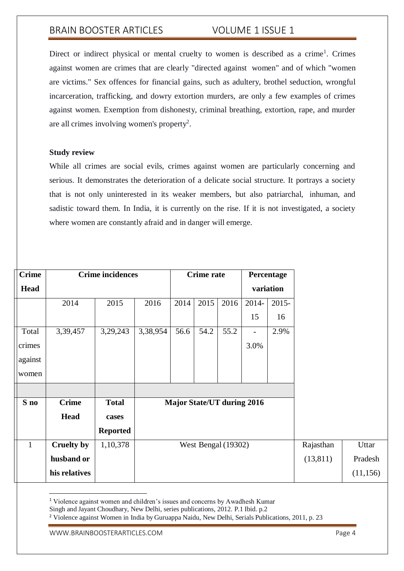Direct or indirect physical or mental cruelty to women is described as a crime<sup>1</sup>. Crimes against women are crimes that are clearly "directed against women" and of which "women are victims." Sex offences for financial gains, such as adultery, brothel seduction, wrongful incarceration, trafficking, and dowry extortion murders, are only a few examples of crimes against women. Exemption from dishonesty, criminal breathing, extortion, rape, and murder are all crimes involving women's property<sup>2</sup>.

### **Study review**

While all crimes are social evils, crimes against women are particularly concerning and serious. It demonstrates the deterioration of a delicate social structure. It portrays a society that is not only uninterested in its weaker members, but also patriarchal, inhuman, and sadistic toward them. In India, it is currently on the rise. If it is not investigated, a society where women are constantly afraid and in danger will emerge.

| <b>Crime</b> |                   | <b>Crime incidences</b> |          |      | <b>Crime rate</b>   |      | Percentage                        |           |           |           |
|--------------|-------------------|-------------------------|----------|------|---------------------|------|-----------------------------------|-----------|-----------|-----------|
| <b>Head</b>  |                   |                         |          |      |                     |      |                                   | variation |           |           |
|              | 2014              | 2015                    | 2016     | 2014 | 2015                | 2016 | 2014-                             | $2015 -$  |           |           |
|              |                   |                         |          |      |                     |      | 15                                | 16        |           |           |
| Total        | 3,39,457          | 3,29,243                | 3,38,954 | 56.6 | 54.2                | 55.2 |                                   | 2.9%      |           |           |
| crimes       |                   |                         |          |      |                     |      | 3.0%                              |           |           |           |
| against      |                   |                         |          |      |                     |      |                                   |           |           |           |
| women        |                   |                         |          |      |                     |      |                                   |           |           |           |
|              |                   |                         |          |      |                     |      |                                   |           |           |           |
| S no         | <b>Crime</b>      | <b>Total</b>            |          |      |                     |      | <b>Major State/UT during 2016</b> |           |           |           |
|              | <b>Head</b>       | cases                   |          |      |                     |      |                                   |           |           |           |
|              |                   | <b>Reported</b>         |          |      |                     |      |                                   |           |           |           |
| $\mathbf{1}$ | <b>Cruelty by</b> | 1,10,378                |          |      | West Bengal (19302) |      |                                   |           | Rajasthan | Uttar     |
|              | husband or        |                         |          |      |                     |      |                                   |           | (13, 811) | Pradesh   |
|              | his relatives     |                         |          |      |                     |      |                                   |           |           | (11, 156) |

<sup>1</sup> Violence against women and children's issues and concerns by Awadhesh Kumar

[WWW.BRAINBOOSTERARTICLES.COM](http://www.brainboosterarticles.com/) **Page 4** 

Singh and Jayant Choudhary, New Delhi, series publications, 2012. P.1 Ibid. p.2

<sup>2</sup> Violence against Women in India by Guruappa Naidu, New Delhi, Serials Publications, 2011, p. 23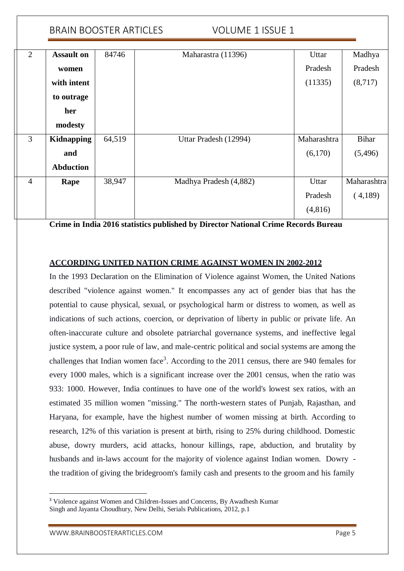|                | <b>BRAIN BOOSTER ARTICLES</b> |        |                        | VOLUME 1 ISSUE 1 |             |              |
|----------------|-------------------------------|--------|------------------------|------------------|-------------|--------------|
| $\overline{2}$ | <b>Assault on</b>             | 84746  | Maharastra (11396)     |                  | Uttar       | Madhya       |
|                | women                         |        |                        |                  | Pradesh     | Pradesh      |
|                | with intent                   |        |                        |                  | (11335)     | (8,717)      |
|                | to outrage                    |        |                        |                  |             |              |
|                | her                           |        |                        |                  |             |              |
|                | modesty                       |        |                        |                  |             |              |
| $\overline{3}$ | Kidnapping                    | 64,519 | Uttar Pradesh (12994)  |                  | Maharashtra | <b>Bihar</b> |
|                | and                           |        |                        |                  | (6,170)     | (5,496)      |
|                | <b>Abduction</b>              |        |                        |                  |             |              |
| $\overline{4}$ | Rape                          | 38,947 | Madhya Pradesh (4,882) |                  | Uttar       | Maharashtra  |
|                |                               |        |                        |                  | Pradesh     | (4,189)      |
|                |                               |        |                        |                  | (4,816)     |              |

**Crime in India 2016 statistics published by Director National Crime Records Bureau**

## **ACCORDING UNITED NATION CRIME AGAINST WOMEN IN 2002-2012**

In the 1993 Declaration on the Elimination of Violence against Women, the United Nations described "violence against women." It encompasses any act of gender bias that has the potential to cause physical, sexual, or psychological harm or distress to women, as well as indications of such actions, coercion, or deprivation of liberty in public or private life. An often-inaccurate culture and obsolete patriarchal governance systems, and ineffective legal justice system, a poor rule of law, and male-centric political and social systems are among the challenges that Indian women face<sup>3</sup>. According to the  $2011$  census, there are 940 females for every 1000 males, which is a significant increase over the 2001 census, when the ratio was 933: 1000. However, India continues to have one of the world's lowest sex ratios, with an estimated 35 million women "missing." The north-western states of Punjab, Rajasthan, and Haryana, for example, have the highest number of women missing at birth. According to research, 12% of this variation is present at birth, rising to 25% during childhood. Domestic abuse, dowry murders, acid attacks, honour killings, rape, abduction, and brutality by husbands and in-laws account for the majority of violence against Indian women. Dowry the tradition of giving the bridegroom's family cash and presents to the groom and his family

<sup>&</sup>lt;sup>3</sup> Violence against Women and Children-Issues and Concerns, By Awadhesh Kumar Singh and Jayanta Choudhury, New Delhi, Serials Publications, 2012, p.1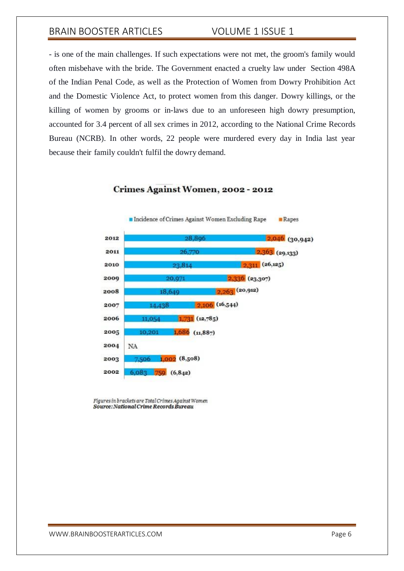- is one of the main challenges. If such expectations were not met, the groom's family would often misbehave with the bride. The Government enacted a cruelty law under Section 498A of the Indian Penal Code, as well as the Protection of Women from Dowry Prohibition Act and the Domestic Violence Act, to protect women from this danger. Dowry killings, or the killing of women by grooms or in-laws due to an unforeseen high dowry presumption, accounted for 3.4 percent of all sex crimes in 2012, according to the National Crime Records Bureau (NCRB). In other words, 22 people were murdered every day in India last year because their family couldn't fulfil the dowry demand.

### Crimes Against Women, 2002 - 2012



Figures in brackets are Total Crimes Against Women Source: National Crime Records Pureau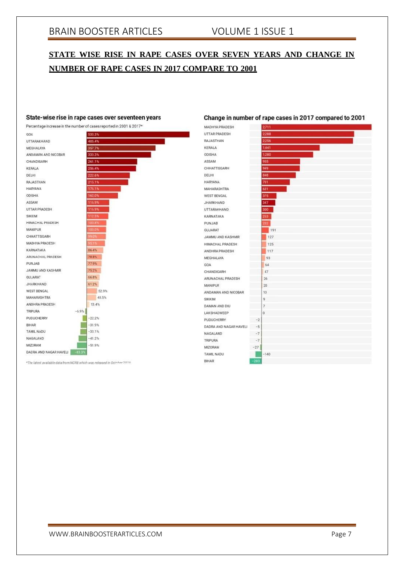# **STATE WISE RISE IN RAPE CASES OVER SEVEN YEARS AND CHANGE IN NUMBER OF RAPE CASES IN 2017 COMPARE TO 2001**

#### State-wise rise in rape cases over seventeen years

Percentage increase in the number of cases reported in 2001 & 2017\*



\*The latest available data from NCRB which was released in October 2019

#### Change in number of rape cases in 2017 compared to 2001

| MADHYA PRADESH         |        | 2,711  |
|------------------------|--------|--------|
| <b>UTTAR PRADESH</b>   |        | 2,288  |
| RAJASTHAN              |        | 2.256  |
| <b>KERALA</b>          |        | 1,441  |
| ODISHA                 |        | 1,280  |
| ASSAM                  |        | 955    |
| CHHATTISGARH           |        | 949    |
| DELHI                  |        | 848    |
| <b>HARYANA</b>         |        | 701    |
| <b>MAHARASHTRA</b>     |        | 631    |
| <b>WEST BENGAL</b>     |        | 375    |
| <b>JHARKHAND</b>       |        | 347    |
| <b>UTTARAKHAND</b>     |        | 300    |
| <b>KARNATAKA</b>       |        | 253    |
| <b>PUNJAB</b>          |        | 201    |
| <b>GUJARAT</b>         |        | 191    |
| JAMMU AND KASHMIR      |        | 127    |
| HIMACHAL PRADESH       |        | 125    |
| ANDHRA PRADESH         |        | 117    |
| MEGHALAYA              |        | 93     |
| GOA                    |        | 64     |
| CHANDIGARH             |        | 47     |
| ARUNACHAL PRADESH      |        | 26     |
| MANIPUR                |        | 20     |
| ANDAMAN AND NICOBAR    |        | 10     |
| SIKKIM                 |        | 9      |
| DAMAN AND DIU          |        | 7      |
| LAKSHADWEEP            |        | O.     |
| <b>PUDUCHERRY</b>      | $-2$   |        |
| DADRA AND NAGAR HAVELI | $-5$   |        |
| NAGALAND               | $-7$   |        |
| TRIPURA                | $-7$   |        |
| MIZORAM                | $-27$  |        |
| TAMIL NADU             |        | $-140$ |
| BIHAR                  | $-283$ |        |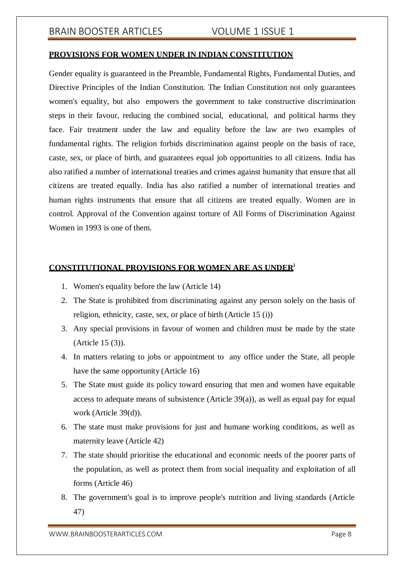### **PROVISIONS FOR WOMEN UNDER IN INDIAN CONSTITUTION**

Gender equality is guaranteed in the Preamble, Fundamental Rights, Fundamental Duties, and Directive Principles of the Indian Constitution. The Indian Constitution not only guarantees women's equality, but also empowers the government to take constructive discrimination steps in their favour, reducing the combined social, educational, and political harms they face. Fair treatment under the law and equality before the law are two examples of fundamental rights. The religion forbids discrimination against people on the basis of race, caste, sex, or place of birth, and guarantees equal job opportunities to all citizens. India has also ratified a number of international treaties and crimes against humanity that ensure that all citizens are treated equally. India has also ratified a number of international treaties and human rights instruments that ensure that all citizens are treated equally. Women are in control. Approval of the Convention against torture of All Forms of Discrimination Against Women in 1993 is one of them.

### **CONSTITUTIONAL PROVISIONS FOR WOMEN ARE AS UNDER<sup>i</sup>**

- 1. Women's equality before the law (Article 14)
- 2. The State is prohibited from discriminating against any person solely on the basis of religion, ethnicity, caste, sex, or place of birth (Article 15 (i))
- 3. Any special provisions in favour of women and children must be made by the state (Article 15 (3)).
- 4. In matters relating to jobs or appointment to any office under the State, all people have the same opportunity (Article 16)
- 5. The State must guide its policy toward ensuring that men and women have equitable access to adequate means of subsistence (Article  $39(a)$ ), as well as equal pay for equal work (Article 39(d)).
- 6. The state must make provisions for just and humane working conditions, as well as maternity leave (Article 42)
- 7. The state should prioritise the educational and economic needs of the poorer parts of the population, as well as protect them from social inequality and exploitation of all forms (Article 46)
- 8. The government's goal is to improve people's nutrition and living standards (Article 47)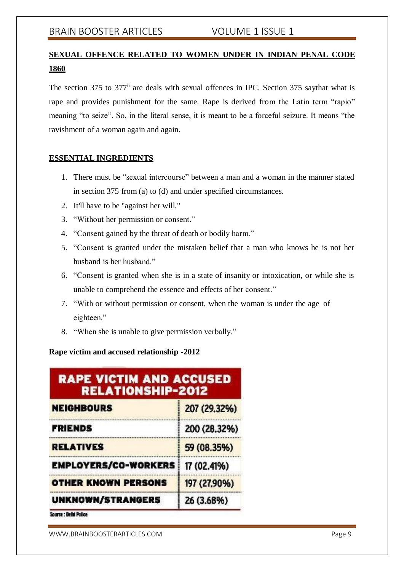# **SEXUAL OFFENCE RELATED TO WOMEN UNDER IN INDIAN PENAL CODE 1860**

The section  $375$  to  $377$ <sup>ii</sup> are deals with sexual offences in IPC. Section  $375$  saythat what is rape and provides punishment for the same. Rape is derived from the Latin term "rapio" meaning "to seize". So, in the literal sense, it is meant to be a forceful seizure. It means "the ravishment of a woman again and again.

### **ESSENTIAL INGREDIENTS**

- 1. There must be "sexual intercourse" between a man and a woman in the manner stated in section 375 from (a) to (d) and under specified circumstances.
- 2. It'll have to be "against her will."
- 3. "Without her permission or consent."
- 4. "Consent gained by the threat of death or bodily harm."
- 5. "Consent is granted under the mistaken belief that a man who knows he is not her husband is her husband."
- 6. "Consent is granted when she is in a state of insanity or intoxication, or while she is unable to comprehend the essence and effects of her consent."
- 7. "With or without permission or consent, when the woman is under the age of eighteen."
- 8. "When she is unable to give permission verbally."

### **Rape victim and accused relationship -2012**

| <b>RAPE VICTIM AND ACCUSED</b><br><b>RELATIONSHIP-2012</b> |              |  |  |  |
|------------------------------------------------------------|--------------|--|--|--|
| <b>NEIGHBOURS</b>                                          | 207 (29.32%) |  |  |  |
| <b>FRIENDS</b>                                             | 200 (28.32%) |  |  |  |
| <b>RELATIVES</b>                                           | 59 (08.35%)  |  |  |  |
| <b>EMPLOYERS/CO-WORKERS</b>                                | 17 (02.41%)  |  |  |  |
| <b>OTHER KNOWN PERSONS</b>                                 | 197 (27,90%) |  |  |  |
| UNKNOWN/STRANGERS                                          | 26 (3.68%)   |  |  |  |
| Source : Delhi Police                                      |              |  |  |  |

[WWW.BRAINBOOSTERARTICLES.COM](http://www.brainboosterarticles.com/) **Page 9**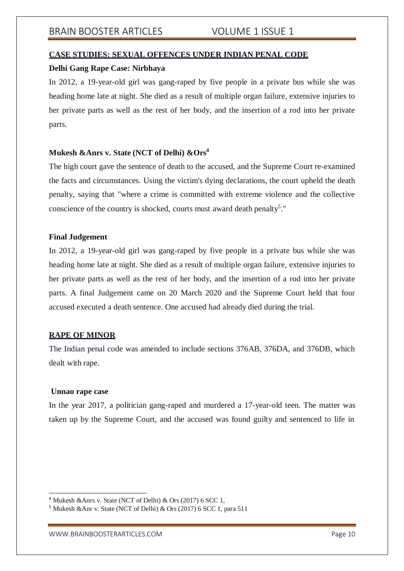### **CASE STUDIES: SEXUAL OFFENCES UNDER INDIAN PENAL CODE**

### **Delhi Gang Rape Case: Nirbhaya**

In 2012, a 19-year-old girl was gang-raped by five people in a private bus while she was heading home late at night. She died as a result of multiple organ failure, extensive injuries to her private parts as well as the rest of her body, and the insertion of a rod into her private parts.

### **Mukesh &Anrs v. State (NCT of Delhi) &Ors<sup>4</sup>**

The high court gave the sentence of death to the accused, and the Supreme Court re-examined the facts and circumstances. Using the victim's dying declarations, the court upheld the death penalty, saying that "where a crime is committed with extreme violence and the collective conscience of the country is shocked, courts must award death penalty<sup>5</sup>."

### **Final Judgement**

In 2012, a 19-year-old girl was gang-raped by five people in a private bus while she was heading home late at night. She died as a result of multiple organ failure, extensive injuries to her private parts as well as the rest of her body, and the insertion of a rod into her private parts. A final Judgement came on 20 March 2020 and the Supreme Court held that four accused executed a death sentence. One accused had already died during the trial.

## **RAPE OF MINOR**

The Indian penal code was amended to include sections 376AB, 376DA, and 376DB, which dealt with rape.

### **Unnao rape case**

In the year 2017, a politician gang-raped and murdered a 17-year-old teen. The matter was taken up by the Supreme Court, and the accused was found guilty and sentenced to life in

<sup>4</sup> Mukesh &Anrs v. State (NCT of Delhi) & Ors (2017) 6 SCC 1,

<sup>5</sup> Mukesh &Anr v. State (NCT of Delhi) & Ors (2017) 6 SCC 1, para 511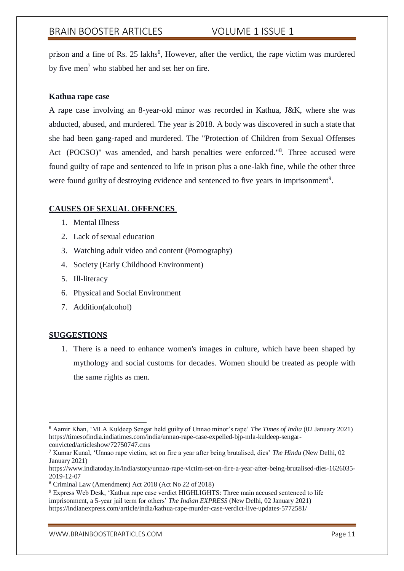prison and a fine of Rs. 25 lakhs<sup>6</sup>, However, after the verdict, the rape victim was murdered by five men<sup>7</sup> who stabbed her and set her on fire.

### **Kathua rape case**

A rape case involving an 8-year-old minor was recorded in Kathua, J&K, where she was abducted, abused, and murdered. The year is 2018. A body was discovered in such a state that she had been gang-raped and murdered. The "Protection of Children from Sexual Offenses Act (POCSO)" was amended, and harsh penalties were enforced."<sup>8</sup> *.* Three accused were found guilty of rape and sentenced to life in prison plus a one-lakh fine, while the other three were found guilty of destroying evidence and sentenced to five years in imprisonment<sup>9</sup>.

### **CAUSES OF SEXUAL OFFENCES**

- 1. Mental Illness
- 2. Lack of sexual education
- 3. Watching adult video and content (Pornography)
- 4. Society (Early Childhood Environment)
- 5. Ill-literacy
- 6. Physical and Social Environment
- 7. Addition(alcohol)

## **SUGGESTIONS**

1. There is a need to enhance women's images in culture, which have been shaped by mythology and social customs for decades. Women should be treated as people with the same rights as men.

<sup>6</sup> Aamir Khan, 'MLA Kuldeep Sengar held guilty of Unnao minor's rape' *The Times of India* (02 January 2021) https://timesofindia.indiatimes.com/india/unnao-rape-case-expelled-bjp-mla-kuldeep-sengarconvicted/articleshow/72750747.cms

<sup>7</sup> Kumar Kunal, 'Unnao rape victim, set on fire a year after being brutalised, dies' *The Hindu* (New Delhi, 02 January 2021)

https:/[/www.indiatoday.in/india/story/unnao-rape-victim-set-on-fire-a-year-after-being-brutalised-dies-1626035-](http://www.indiatoday.in/india/story/unnao-rape-victim-set-on-fire-a-year-after-being-brutalised-dies-1626035-) 2019-12-07

<sup>8</sup> Criminal Law (Amendment) Act 2018 (Act No 22 of 2018)

<sup>9</sup> Express Web Desk, 'Kathua rape case verdict HIGHLIGHTS: Three main accused sentenced to life imprisonment, a 5-year jail term for others' *The Indian EXPRESS* (New Delhi, 02 January 2021) https://indianexpress.com/article/india/kathua-rape-murder-case-verdict-live-updates-5772581/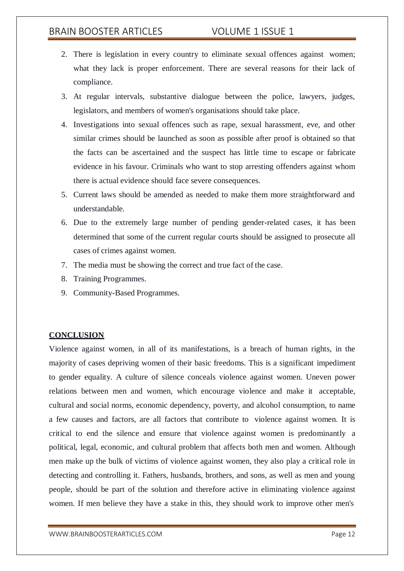- 2. There is legislation in every country to eliminate sexual offences against women; what they lack is proper enforcement. There are several reasons for their lack of compliance.
- 3. At regular intervals, substantive dialogue between the police, lawyers, judges, legislators, and members of women's organisations should take place.
- 4. Investigations into sexual offences such as rape, sexual harassment, eve, and other similar crimes should be launched as soon as possible after proof is obtained so that the facts can be ascertained and the suspect has little time to escape or fabricate evidence in his favour. Criminals who want to stop arresting offenders against whom there is actual evidence should face severe consequences.
- 5. Current laws should be amended as needed to make them more straightforward and understandable.
- 6. Due to the extremely large number of pending gender-related cases, it has been determined that some of the current regular courts should be assigned to prosecute all cases of crimes against women.
- 7. The media must be showing the correct and true fact of the case.
- 8. Training Programmes.
- 9. Community-Based Programmes.

### **CONCLUSION**

Violence against women, in all of its manifestations, is a breach of human rights, in the majority of cases depriving women of their basic freedoms. This is a significant impediment to gender equality. A culture of silence conceals violence against women. Uneven power relations between men and women, which encourage violence and make it acceptable, cultural and social norms, economic dependency, poverty, and alcohol consumption, to name a few causes and factors, are all factors that contribute to violence against women. It is critical to end the silence and ensure that violence against women is predominantly a political, legal, economic, and cultural problem that affects both men and women. Although men make up the bulk of victims of violence against women, they also play a critical role in detecting and controlling it. Fathers, husbands, brothers, and sons, as well as men and young people, should be part of the solution and therefore active in eliminating violence against women. If men believe they have a stake in this, they should work to improve other men's